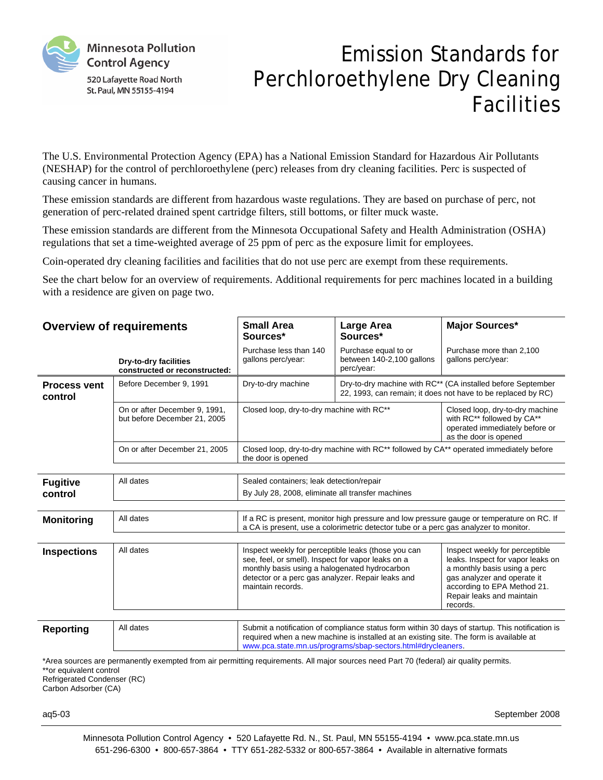

# Emission Standards for Perchloroethylene Dry Cleaning Facilities

The U.S. Environmental Protection Agency (EPA) has a National Emission Standard for Hazardous Air Pollutants (NESHAP) for the control of perchloroethylene (perc) releases from dry cleaning facilities. Perc is suspected of causing cancer in humans.

These emission standards are different from hazardous waste regulations. They are based on purchase of perc, not generation of perc-related drained spent cartridge filters, still bottoms, or filter muck waste.

These emission standards are different from the Minnesota Occupational Safety and Health Administration (OSHA) regulations that set a time-weighted average of 25 ppm of perc as the exposure limit for employees.

Coin-operated dry cleaning facilities and facilities that do not use perc are exempt from these requirements.

See the chart below for an overview of requirements. Additional requirements for perc machines located in a building with a residence are given on page two.

| <b>Overview of requirements</b> |                                                               | <b>Small Area</b><br>Sources*                                                                                                                                                                                                                            | Large Area<br>Sources*                                                                                                                                                | <b>Major Sources*</b>                                                                                                                                                                                      |  |
|---------------------------------|---------------------------------------------------------------|----------------------------------------------------------------------------------------------------------------------------------------------------------------------------------------------------------------------------------------------------------|-----------------------------------------------------------------------------------------------------------------------------------------------------------------------|------------------------------------------------------------------------------------------------------------------------------------------------------------------------------------------------------------|--|
|                                 | Dry-to-dry facilities<br>constructed or reconstructed:        | Purchase less than 140<br>gallons perc/year:                                                                                                                                                                                                             | Purchase equal to or<br>between 140-2,100 gallons<br>perc/year:                                                                                                       | Purchase more than 2,100<br>gallons perc/year:                                                                                                                                                             |  |
| <b>Process vent</b><br>control  | Before December 9, 1991                                       | Dry-to-dry machine                                                                                                                                                                                                                                       |                                                                                                                                                                       | Dry-to-dry machine with RC** (CA installed before September<br>22, 1993, can remain; it does not have to be replaced by RC)                                                                                |  |
|                                 | On or after December 9, 1991,<br>but before December 21, 2005 |                                                                                                                                                                                                                                                          | Closed loop, dry-to-dry machine with RC**<br>Closed loop, dry-to-dry machine<br>with RC** followed by CA**<br>operated immediately before or<br>as the door is opened |                                                                                                                                                                                                            |  |
|                                 | On or after December 21, 2005                                 | Closed loop, dry-to-dry machine with RC <sup>**</sup> followed by CA <sup>**</sup> operated immediately before<br>the door is opened                                                                                                                     |                                                                                                                                                                       |                                                                                                                                                                                                            |  |
|                                 |                                                               |                                                                                                                                                                                                                                                          |                                                                                                                                                                       |                                                                                                                                                                                                            |  |
| <b>Fugitive</b>                 | All dates                                                     | Sealed containers; leak detection/repair                                                                                                                                                                                                                 |                                                                                                                                                                       |                                                                                                                                                                                                            |  |
| control                         |                                                               | By July 28, 2008, eliminate all transfer machines                                                                                                                                                                                                        |                                                                                                                                                                       |                                                                                                                                                                                                            |  |
|                                 |                                                               |                                                                                                                                                                                                                                                          |                                                                                                                                                                       |                                                                                                                                                                                                            |  |
| <b>Monitoring</b>               | All dates                                                     | If a RC is present, monitor high pressure and low pressure gauge or temperature on RC. If<br>a CA is present, use a colorimetric detector tube or a perc gas analyzer to monitor.                                                                        |                                                                                                                                                                       |                                                                                                                                                                                                            |  |
|                                 |                                                               |                                                                                                                                                                                                                                                          |                                                                                                                                                                       |                                                                                                                                                                                                            |  |
| <b>Inspections</b>              | All dates                                                     | Inspect weekly for perceptible leaks (those you can<br>see, feel, or smell). Inspect for vapor leaks on a<br>monthly basis using a halogenated hydrocarbon<br>detector or a perc gas analyzer. Repair leaks and<br>maintain records.                     |                                                                                                                                                                       | Inspect weekly for perceptible<br>leaks. Inspect for vapor leaks on<br>a monthly basis using a perc<br>gas analyzer and operate it<br>according to EPA Method 21.<br>Repair leaks and maintain<br>records. |  |
|                                 |                                                               |                                                                                                                                                                                                                                                          |                                                                                                                                                                       |                                                                                                                                                                                                            |  |
| <b>Reporting</b>                | All dates                                                     | Submit a notification of compliance status form within 30 days of startup. This notification is<br>required when a new machine is installed at an existing site. The form is available at<br>www.pca.state.mn.us/programs/sbap-sectors.html#drycleaners. |                                                                                                                                                                       |                                                                                                                                                                                                            |  |

\*Area sources are permanently exempted from air permitting requirements. All major sources need Part 70 (federal) air quality permits. \*\*or equivalent control

Refrigerated Condenser (RC)

Carbon Adsorber (CA)

aq5-03

September 2008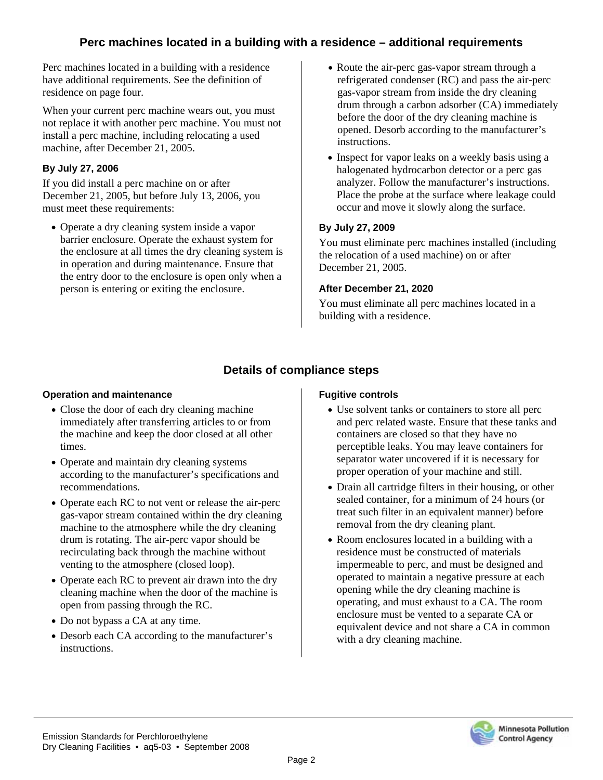# **Perc machines located in a building with a residence – additional requirements**

Perc machines located in a building with a residence have additional requirements. See the definition of residence on page four.

When your current perc machine wears out, you must not replace it with another perc machine. You must not install a perc machine, including relocating a used machine, after December 21, 2005.

# **By July 27, 2006**

If you did install a perc machine on or after December 21, 2005, but before July 13, 2006, you must meet these requirements:

• Operate a dry cleaning system inside a vapor barrier enclosure. Operate the exhaust system for the enclosure at all times the dry cleaning system is in operation and during maintenance. Ensure that the entry door to the enclosure is open only when a person is entering or exiting the enclosure.

- Route the air-perc gas-vapor stream through a refrigerated condenser (RC) and pass the air-perc gas-vapor stream from inside the dry cleaning drum through a carbon adsorber (CA) immediately before the door of the dry cleaning machine is opened. Desorb according to the manufacturer's instructions.
- Inspect for vapor leaks on a weekly basis using a halogenated hydrocarbon detector or a perc gas analyzer. Follow the manufacturer's instructions. Place the probe at the surface where leakage could occur and move it slowly along the surface.

## **By July 27, 2009**

You must eliminate perc machines installed (including the relocation of a used machine) on or after December 21, 2005.

### **After December 21, 2020**

You must eliminate all perc machines located in a building with a residence.

# **Details of compliance steps**

## **Operation and maintenance**

- Close the door of each dry cleaning machine immediately after transferring articles to or from the machine and keep the door closed at all other times.
- Operate and maintain dry cleaning systems according to the manufacturer's specifications and recommendations.
- Operate each RC to not vent or release the air-perc gas-vapor stream contained within the dry cleaning machine to the atmosphere while the dry cleaning drum is rotating. The air-perc vapor should be recirculating back through the machine without venting to the atmosphere (closed loop).
- Operate each RC to prevent air drawn into the dry cleaning machine when the door of the machine is open from passing through the RC.
- Do not bypass a CA at any time.
- Desorb each CA according to the manufacturer's instructions.

## **Fugitive controls**

- Use solvent tanks or containers to store all perc and perc related waste. Ensure that these tanks and containers are closed so that they have no perceptible leaks. You may leave containers for separator water uncovered if it is necessary for proper operation of your machine and still.
- Drain all cartridge filters in their housing, or other sealed container, for a minimum of 24 hours (or treat such filter in an equivalent manner) before removal from the dry cleaning plant.
- Room enclosures located in a building with a residence must be constructed of materials impermeable to perc, and must be designed and operated to maintain a negative pressure at each opening while the dry cleaning machine is operating, and must exhaust to a CA. The room enclosure must be vented to a separate CA or equivalent device and not share a CA in common with a dry cleaning machine.

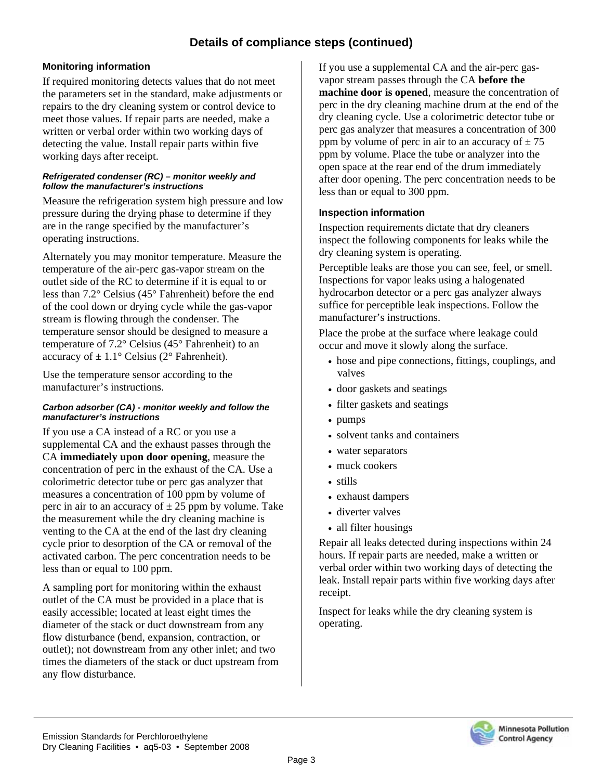# **Details of compliance steps (continued)**

#### **Monitoring information**

If required monitoring detects values that do not meet the parameters set in the standard, make adjustments or repairs to the dry cleaning system or control device to meet those values. If repair parts are needed, make a written or verbal order within two working days of detecting the value. Install repair parts within five working days after receipt.

#### *Refrigerated condenser (RC) – monitor weekly and follow the manufacturer's instructions*

Measure the refrigeration system high pressure and low pressure during the drying phase to determine if they are in the range specified by the manufacturer's operating instructions.

Alternately you may monitor temperature. Measure the temperature of the air-perc gas-vapor stream on the outlet side of the RC to determine if it is equal to or less than 7.2° Celsius (45° Fahrenheit) before the end of the cool down or drying cycle while the gas-vapor stream is flowing through the condenser. The temperature sensor should be designed to measure a temperature of 7.2° Celsius (45° Fahrenheit) to an accuracy of  $\pm 1.1^{\circ}$  Celsius (2° Fahrenheit).

Use the temperature sensor according to the manufacturer's instructions.

#### *Carbon adsorber (CA) - monitor weekly and follow the manufacturer's instructions*

If you use a CA instead of a RC or you use a supplemental CA and the exhaust passes through the CA **immediately upon door opening**, measure the concentration of perc in the exhaust of the CA. Use a colorimetric detector tube or perc gas analyzer that measures a concentration of 100 ppm by volume of perc in air to an accuracy of  $\pm 25$  ppm by volume. Take the measurement while the dry cleaning machine is venting to the CA at the end of the last dry cleaning cycle prior to desorption of the CA or removal of the activated carbon. The perc concentration needs to be less than or equal to 100 ppm.

A sampling port for monitoring within the exhaust outlet of the CA must be provided in a place that is easily accessible; located at least eight times the diameter of the stack or duct downstream from any flow disturbance (bend, expansion, contraction, or outlet); not downstream from any other inlet; and two times the diameters of the stack or duct upstream from any flow disturbance.

If you use a supplemental CA and the air-perc gasvapor stream passes through the CA **before the machine door is opened**, measure the concentration of perc in the dry cleaning machine drum at the end of the dry cleaning cycle. Use a colorimetric detector tube or perc gas analyzer that measures a concentration of 300 ppm by volume of perc in air to an accuracy of  $\pm 75$ ppm by volume. Place the tube or analyzer into the open space at the rear end of the drum immediately after door opening. The perc concentration needs to be less than or equal to 300 ppm.

#### **Inspection information**

Inspection requirements dictate that dry cleaners inspect the following components for leaks while the dry cleaning system is operating.

Perceptible leaks are those you can see, feel, or smell. Inspections for vapor leaks using a halogenated hydrocarbon detector or a perc gas analyzer always suffice for perceptible leak inspections. Follow the manufacturer's instructions.

Place the probe at the surface where leakage could occur and move it slowly along the surface.

- hose and pipe connections, fittings, couplings, and valves
- door gaskets and seatings
- filter gaskets and seatings
- pumps
- solvent tanks and containers
- water separators
- muck cookers
- stills
- exhaust dampers
- diverter valves
- all filter housings

Repair all leaks detected during inspections within 24 hours. If repair parts are needed, make a written or verbal order within two working days of detecting the leak. Install repair parts within five working days after receipt.

Inspect for leaks while the dry cleaning system is operating.

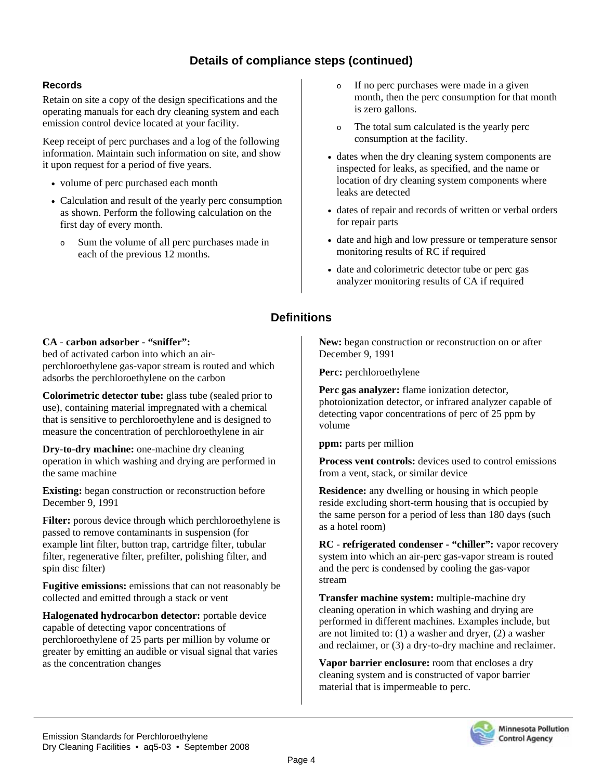# **Details of compliance steps (continued)**

#### **Records**

Retain on site a copy of the design specifications and the operating manuals for each dry cleaning system and each emission control device located at your facility.

Keep receipt of perc purchases and a log of the following information. Maintain such information on site, and show it upon request for a period of five years.

- volume of perc purchased each month
- Calculation and result of the yearly perc consumption as shown. Perform the following calculation on the first day of every month.
	- o Sum the volume of all perc purchases made in each of the previous 12 months.
- o If no perc purchases were made in a given month, then the perc consumption for that month is zero gallons.
- The total sum calculated is the yearly perc consumption at the facility.
- dates when the dry cleaning system components are inspected for leaks, as specified, and the name or location of dry cleaning system components where leaks are detected
- dates of repair and records of written or verbal orders for repair parts
- date and high and low pressure or temperature sensor monitoring results of RC if required
- date and colorimetric detector tube or perc gas analyzer monitoring results of CA if required

# **Definitions**

#### **CA** - **carbon adsorber - "sniffer":**

bed of activated carbon into which an airperchloroethylene gas-vapor stream is routed and which adsorbs the perchloroethylene on the carbon

**Colorimetric detector tube:** glass tube (sealed prior to use), containing material impregnated with a chemical that is sensitive to perchloroethylene and is designed to measure the concentration of perchloroethylene in air

**Dry-to-dry machine:** one-machine dry cleaning operation in which washing and drying are performed in the same machine

**Existing:** began construction or reconstruction before December 9, 1991

Filter: porous device through which perchloroethylene is passed to remove contaminants in suspension (for example lint filter, button trap, cartridge filter, tubular filter, regenerative filter, prefilter, polishing filter, and spin disc filter)

**Fugitive emissions:** emissions that can not reasonably be collected and emitted through a stack or vent

**Halogenated hydrocarbon detector:** portable device capable of detecting vapor concentrations of perchloroethylene of 25 parts per million by volume or greater by emitting an audible or visual signal that varies as the concentration changes

**New:** began construction or reconstruction on or after December 9, 1991

**Perc:** perchloroethylene

**Perc gas analyzer:** flame ionization detector, photoionization detector, or infrared analyzer capable of detecting vapor concentrations of perc of 25 ppm by volume

**ppm:** parts per million

**Process vent controls:** devices used to control emissions from a vent, stack, or similar device

**Residence:** any dwelling or housing in which people reside excluding short-term housing that is occupied by the same person for a period of less than 180 days (such as a hotel room)

**RC** - **refrigerated condenser - "chiller":** vapor recovery system into which an air-perc gas-vapor stream is routed and the perc is condensed by cooling the gas-vapor stream

**Transfer machine system:** multiple-machine dry cleaning operation in which washing and drying are performed in different machines. Examples include, but are not limited to: (1) a washer and dryer, (2) a washer and reclaimer, or (3) a dry-to-dry machine and reclaimer.

**Vapor barrier enclosure:** room that encloses a dry cleaning system and is constructed of vapor barrier material that is impermeable to perc.